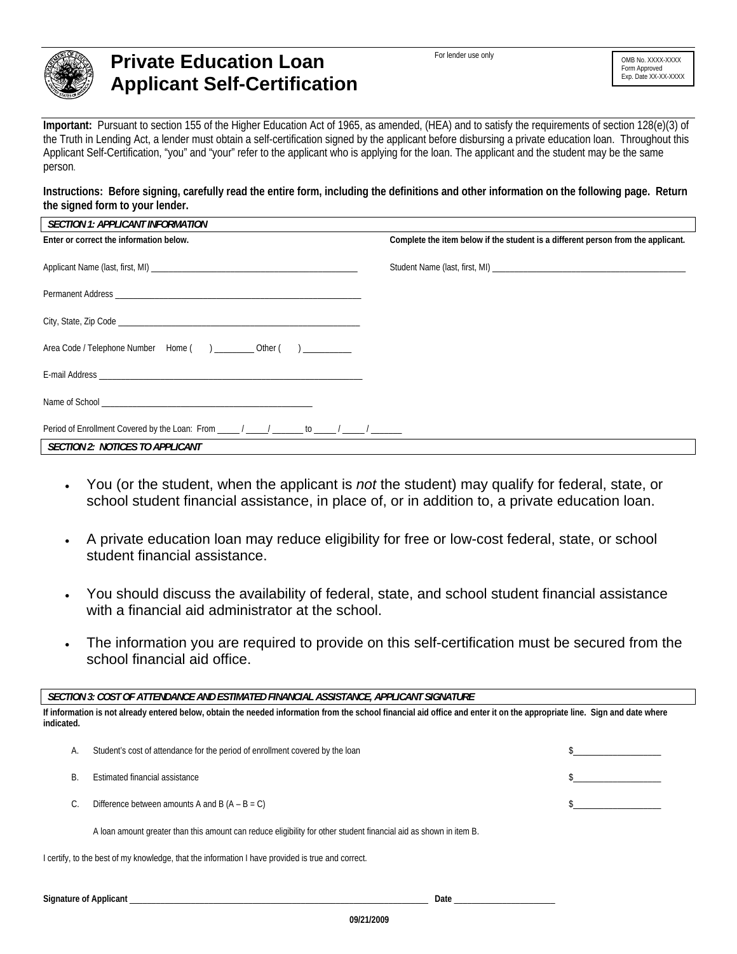

## **Private Education Loan Applicant Self-Certification**

For lender use only **COMB NO. XXXX-XXXX** 

**Important:** Pursuant to section 155 of the Higher Education Act of 1965, as amended, (HEA) and to satisfy the requirements of section 128(e)(3) of the Truth in Lending Act, a lender must obtain a self-certification signed by the applicant before disbursing a private education loan. Throughout this Applicant Self-Certification, "you" and "your" refer to the applicant who is applying for the loan. The applicant and the student may be the same person.

**Instructions: Before signing, carefully read the entire form, including the definitions and other information on the following page. Return the signed form to your lender.** 

| SECTION 1: APPLICANT INFORMATION              |                                                                                  |
|-----------------------------------------------|----------------------------------------------------------------------------------|
| Enter or correct the information below.       | Complete the item below if the student is a different person from the applicant. |
|                                               |                                                                                  |
|                                               |                                                                                  |
|                                               |                                                                                  |
|                                               |                                                                                  |
|                                               |                                                                                  |
|                                               |                                                                                  |
| Area Code / Telephone Number Home () Other () |                                                                                  |
|                                               |                                                                                  |
|                                               |                                                                                  |
|                                               |                                                                                  |
|                                               |                                                                                  |
|                                               |                                                                                  |
|                                               |                                                                                  |
| SECTION 2: NOTICES TO APPLICANT               |                                                                                  |

- You (or the student, when the applicant is *not* the student) may qualify for federal, state, or school student financial assistance, in place of, or in addition to, a private education loan.
- A private education loan may reduce eligibility for free or low-cost federal, state, or school student financial assistance.
- You should discuss the availability of federal, state, and school student financial assistance with a financial aid administrator at the school.
- The information you are required to provide on this self-certification must be secured from the school financial aid office.

| SECTION 3: COST OF ATTENDANCE AND ESTIMATED FINANCIAL ASSISTANCE, APPLICANT SIGNATURE                                                                                                   |                                                                                                                   |  |
|-----------------------------------------------------------------------------------------------------------------------------------------------------------------------------------------|-------------------------------------------------------------------------------------------------------------------|--|
| If information is not already entered below, obtain the needed information from the school financial aid office and enter it on the appropriate line. Sign and date where<br>indicated. |                                                                                                                   |  |
| А.                                                                                                                                                                                      | Student's cost of attendance for the period of enrollment covered by the loan                                     |  |
| B.                                                                                                                                                                                      | Estimated financial assistance                                                                                    |  |
|                                                                                                                                                                                         | Difference between amounts A and B $(A - B = C)$                                                                  |  |
|                                                                                                                                                                                         | A loan amount greater than this amount can reduce eligibility for other student financial aid as shown in item B. |  |
| I certify, to the best of my knowledge, that the information I have provided is true and correct.                                                                                       |                                                                                                                   |  |